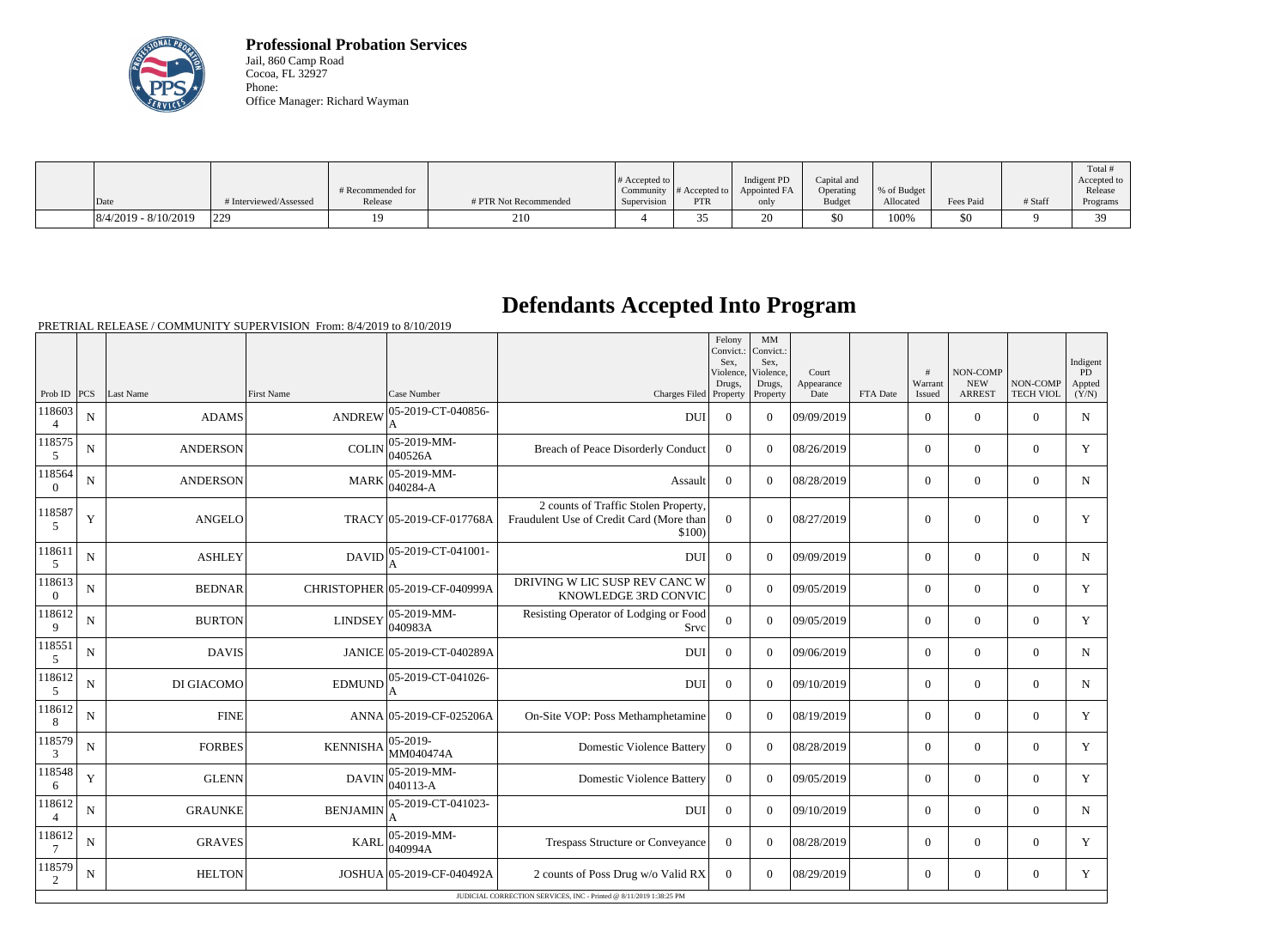

**Professional Probation Services** Jail, 860 Camp Road Cocoa, FL 32927 Phone: Office Manager: Richard Wayman

|                          |                      |                   |                       |                              |                               |              |               |             |           |         | Total       |
|--------------------------|----------------------|-------------------|-----------------------|------------------------------|-------------------------------|--------------|---------------|-------------|-----------|---------|-------------|
|                          |                      |                   |                       | $\#$ Accepted to $\parallel$ |                               | Indigent PD  | Capital and   |             |           |         | Accepted to |
|                          |                      | # Recommended for |                       |                              | Community $#$ Accepted to $ $ | Appointed FA | Operating     | % of Budget |           |         | Release     |
| Date                     | Interviewed/Assessed | Release           | # PTR Not Recommended | Supervision                  | PTR                           | only         | <b>Budget</b> | Allocated   | Fees Paid | # Staff | Programs    |
| $ 8/4/2019 - 8/10/2019 $ | 229                  |                   | 210                   |                              |                               |              | \$0           | 100%        |           |         | $\Omega$    |

## **Defendants Accepted Into Program**

PRETRIAL RELEASE / COMMUNITY SUPERVISION From: 8/4/2019 to 8/10/2019

|                          |             |                 |                   |                                |                                                                                           | Felony<br>Convict.:<br>Sex.<br>Violence,<br>Drugs, | MM<br>Convict.:<br>Sex.<br>Violence.<br>Drugs, | Court<br>Appearance |          | #<br>Warrant   | NON-COMP<br><b>NEW</b> | NON-COMP         | Indigent<br>PD<br>Appted |
|--------------------------|-------------|-----------------|-------------------|--------------------------------|-------------------------------------------------------------------------------------------|----------------------------------------------------|------------------------------------------------|---------------------|----------|----------------|------------------------|------------------|--------------------------|
| Prob ID $ PCS $          |             | Last Name       | <b>First Name</b> | Case Number                    | Charges Filed Property                                                                    |                                                    | Property                                       | Date                | FTA Date | Issued         | <b>ARREST</b>          | <b>TECH VIOL</b> | (Y/N)                    |
| 118603<br>4              | ${\bf N}$   | <b>ADAMS</b>    | <b>ANDREW</b>     | 05-2019-CT-040856-<br>A        | <b>DUI</b>                                                                                | $\Omega$                                           | $\theta$                                       | 09/09/2019          |          | $\overline{0}$ | $\theta$               | $\Omega$         | $\mathbf N$              |
| 118575<br>5              | ${\bf N}$   | <b>ANDERSON</b> | <b>COLIN</b>      | 05-2019-MM-<br>040526A         | <b>Breach of Peace Disorderly Conduct</b>                                                 | $\overline{0}$                                     | $\Omega$                                       | 08/26/2019          |          | $\overline{0}$ | $\theta$               | $\mathbf{0}$     | Y                        |
| 118564<br>$\overline{0}$ | N           | <b>ANDERSON</b> | <b>MARK</b>       | 05-2019-MM-<br>040284-A        | Assault                                                                                   | $\theta$                                           | $\Omega$                                       | 08/28/2019          |          | $\Omega$       | $\theta$               | $\Omega$         | $\mathbf N$              |
| 118587<br>5              | $\mathbf Y$ | <b>ANGELO</b>   |                   | TRACY 05-2019-CF-017768A       | 2 counts of Traffic Stolen Property,<br>Fraudulent Use of Credit Card (More than<br>\$100 | $\Omega$                                           | $\theta$                                       | 08/27/2019          |          | $\mathbf{0}$   | $\overline{0}$         | $\overline{0}$   | $\mathbf Y$              |
| 118611<br>5              | N           | <b>ASHLEY</b>   | <b>DAVID</b>      | 05-2019-CT-041001-<br>A        | <b>DUI</b>                                                                                | $\theta$                                           | $\Omega$                                       | 09/09/2019          |          | $\Omega$       | $\theta$               | $\Omega$         | N                        |
| 118613<br>$\Omega$       | $\mathbf N$ | <b>BEDNAR</b>   |                   | CHRISTOPHER 05-2019-CF-040999A | DRIVING W LIC SUSP REV CANC W<br>KNOWLEDGE 3RD CONVIC                                     | $\overline{0}$                                     | $\Omega$                                       | 09/05/2019          |          | $\overline{0}$ | $\mathbf{0}$           | $\overline{0}$   | Y                        |
| 118612<br>9              | N           | <b>BURTON</b>   | <b>LINDSEY</b>    | $ 05-2019-MM -$<br> 040983A    | Resisting Operator of Lodging or Food<br>Srvc                                             | $\Omega$                                           | $\Omega$                                       | 09/05/2019          |          | $\overline{0}$ | $\boldsymbol{0}$       | $\overline{0}$   | Y                        |
| 118551<br>5              | N           | <b>DAVIS</b>    |                   | JANICE 05-2019-CT-040289A      | <b>DUI</b>                                                                                | $\Omega$                                           | $\Omega$                                       | 09/06/2019          |          | $\overline{0}$ | $\boldsymbol{0}$       | $\mathbf{0}$     | N                        |
| 118612<br>5              | $\mathbf N$ | DI GIACOMO      | <b>EDMUND</b>     | 05-2019-CT-041026-<br>A        | <b>DUI</b>                                                                                | $\overline{0}$                                     | $\Omega$                                       | 09/10/2019          |          | $\overline{0}$ | $\mathbf{0}$           | $\overline{0}$   | $\mathbf N$              |
| 118612<br>$8\phantom{.}$ | N           | <b>FINE</b>     |                   | ANNA 05-2019-CF-025206A        | On-Site VOP: Poss Methamphetamine                                                         | $\overline{0}$                                     | $\Omega$                                       | 08/19/2019          |          | $\overline{0}$ | $\theta$               | $\Omega$         | Y                        |
| 118579<br>3              | N           | <b>FORBES</b>   | <b>KENNISHA</b>   | $ 05 - 2019 -$<br>MM040474A    | <b>Domestic Violence Battery</b>                                                          | $\overline{0}$                                     | $\theta$                                       | 08/28/2019          |          | $\overline{0}$ | $\overline{0}$         | $\overline{0}$   | Y                        |
| 118548<br>6              | Y           | <b>GLENN</b>    | <b>DAVIN</b>      | $ 05-2019-MM -$<br>040113-A    | <b>Domestic Violence Battery</b>                                                          | $\Omega$                                           | $\theta$                                       | 09/05/2019          |          | $\overline{0}$ | $\theta$               | $\overline{0}$   | Y                        |
| 118612<br>$\overline{4}$ | N           | <b>GRAUNKE</b>  | <b>BENJAMIN</b>   | 05-2019-CT-041023-             | <b>DUI</b>                                                                                | $\Omega$                                           | $\Omega$                                       | 09/10/2019          |          | $\overline{0}$ | $\theta$               | $\Omega$         | $\mathbf N$              |
| 118612                   | N           | <b>GRAVES</b>   | <b>KARL</b>       | 05-2019-MM-<br>040994A         | Trespass Structure or Conveyance                                                          | $\overline{0}$                                     | $\Omega$                                       | 08/28/2019          |          | $\overline{0}$ | $\overline{0}$         | $\overline{0}$   | Y                        |
| 118579<br>2              | $\mathbf N$ | <b>HELTON</b>   |                   | JOSHUA 05-2019-CF-040492A      | 2 counts of Poss Drug w/o Valid RX                                                        | $\Omega$                                           | $\Omega$                                       | 08/29/2019          |          | $\overline{0}$ | $\overline{0}$         | $\overline{0}$   | Y                        |
|                          |             |                 |                   |                                | JUDICIAL CORRECTION SERVICES, INC - Printed @ 8/11/2019 1:38:25 PM                        |                                                    |                                                |                     |          |                |                        |                  |                          |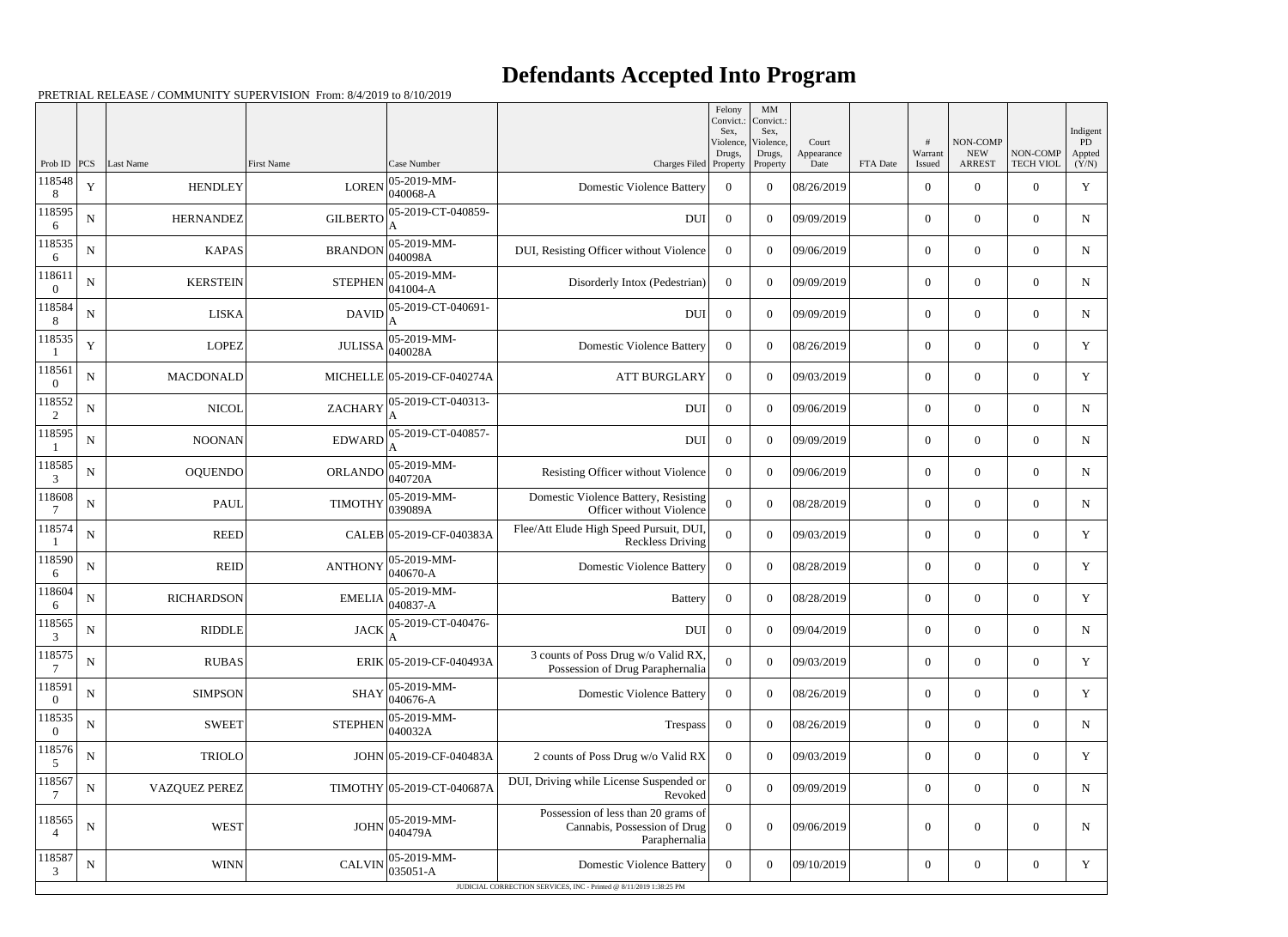## **Defendants Accepted Into Program**

PRETRIAL RELEASE / COMMUNITY SUPERVISION From: 8/4/2019 to 8/10/2019

|                          |             |                      |                   |                             |                                                                                      | Felony<br>Convict.:<br>Sex. | MM<br>Convict.:<br>Sex, |                     |          |                  |                        |                  | Indigent      |
|--------------------------|-------------|----------------------|-------------------|-----------------------------|--------------------------------------------------------------------------------------|-----------------------------|-------------------------|---------------------|----------|------------------|------------------------|------------------|---------------|
|                          |             |                      |                   |                             |                                                                                      | Violence,<br>Drugs,         | Violence,<br>Drugs,     | Court<br>Appearance |          | #<br>Warrant     | NON-COMP<br><b>NEW</b> | NON-COMP         | PD.<br>Appted |
| Prob ID<br>118548        | PCS         | Last Name            | <b>First Name</b> | Case Number<br>05-2019-MM-  | Charges Filed Property                                                               |                             | Property                | Date                | FTA Date | Issued           | <b>ARREST</b>          | <b>TECH VIOL</b> | (Y/N)         |
| 8                        | $\mathbf Y$ | <b>HENDLEY</b>       | <b>LOREN</b>      | 040068-A                    | <b>Domestic Violence Battery</b>                                                     | $\overline{0}$              | $\Omega$                | 08/26/2019          |          | $\boldsymbol{0}$ | $\Omega$               | $\Omega$         | Y             |
| 118595<br>6              | N           | <b>HERNANDEZ</b>     | <b>GILBERTO</b>   | 05-2019-CT-040859-          | <b>DUI</b>                                                                           | $\overline{0}$              | $\Omega$                | 09/09/2019          |          | $\boldsymbol{0}$ | $\overline{0}$         | $\Omega$         | N             |
| 118535<br>6              | $\mathbf N$ | <b>KAPAS</b>         | <b>BRANDON</b>    | 05-2019-MM-<br>040098A      | DUI, Resisting Officer without Violence                                              | $\overline{0}$              | $\Omega$                | 09/06/2019          |          | $\overline{0}$   | $\Omega$               | $\Omega$         | $\mathbf N$   |
| 118611                   | ${\bf N}$   | <b>KERSTEIN</b>      | <b>STEPHEN</b>    | 05-2019-MM-<br>$041004 - A$ | Disorderly Intox (Pedestrian)                                                        | $\overline{0}$              | $\Omega$                | 09/09/2019          |          | $\overline{0}$   | $\overline{0}$         | $\Omega$         | $\mathbf N$   |
| 118584<br>8              | $\mathbf N$ | <b>LISKA</b>         | <b>DAVID</b>      | 05-2019-CT-040691-<br>A     | <b>DUI</b>                                                                           | $\overline{0}$              | $\theta$                | 09/09/2019          |          | $\boldsymbol{0}$ | $\Omega$               | $\Omega$         | N             |
| 118535                   | Y           | <b>LOPEZ</b>         | <b>JULISSA</b>    | 05-2019-MM-<br>040028A      | <b>Domestic Violence Battery</b>                                                     | $\Omega$                    | $\Omega$                | 08/26/2019          |          | $\boldsymbol{0}$ | $\theta$               | $\Omega$         | Y             |
| 118561<br>$\Omega$       | ${\bf N}$   | <b>MACDONALD</b>     |                   | MICHELLE 05-2019-CF-040274A | <b>ATT BURGLARY</b>                                                                  | $\overline{0}$              | $\theta$                | 09/03/2019          |          | $\overline{0}$   | $\Omega$               | $\Omega$         | Y             |
| 118552<br>2              | N           | <b>NICOL</b>         | <b>ZACHARY</b>    | 05-2019-CT-040313-          | <b>DUI</b>                                                                           | $\overline{0}$              | $\Omega$                | 09/06/2019          |          | $\overline{0}$   | $\overline{0}$         | $\Omega$         | $\mathbf N$   |
| 118595                   | $\mathbf N$ | <b>NOONAN</b>        | <b>EDWARD</b>     | 05-2019-CT-040857-<br>A     | <b>DUI</b>                                                                           | $\overline{0}$              | $\theta$                | 09/09/2019          |          | $\boldsymbol{0}$ | $\Omega$               | $\Omega$         | N             |
| 118585<br>3              | N           | <b>OQUENDO</b>       | ORLANDO           | 05-2019-MM-<br>040720A      | Resisting Officer without Violence                                                   | $\Omega$                    | $\Omega$                | 09/06/2019          |          | $\boldsymbol{0}$ | $\Omega$               | $\Omega$         | N             |
| 118608<br>7              | ${\bf N}$   | <b>PAUL</b>          | <b>TIMOTHY</b>    | 05-2019-MM-<br>039089A      | Domestic Violence Battery, Resisting<br>Officer without Violence                     | $\theta$                    | $\theta$                | 08/28/2019          |          | $\overline{0}$   | $\Omega$               | $\Omega$         | N             |
| 118574                   | ${\bf N}$   | <b>REED</b>          |                   | CALEB 05-2019-CF-040383A    | Flee/Att Elude High Speed Pursuit, DUI,<br><b>Reckless Driving</b>                   | $\Omega$                    | $\Omega$                | 09/03/2019          |          | $\overline{0}$   | $\overline{0}$         | $\Omega$         | Y             |
| 118590<br>6              | $\mathbf N$ | <b>REID</b>          | <b>ANTHONY</b>    | 05-2019-MM-<br>040670-A     | <b>Domestic Violence Battery</b>                                                     | $\overline{0}$              | $\Omega$                | 08/28/2019          |          | $\mathbf{0}$     | $\Omega$               | $\Omega$         | Y             |
| 118604                   | N           | <b>RICHARDSON</b>    | <b>EMELIA</b>     | 05-2019-MM-<br>$040837 - A$ | <b>Battery</b>                                                                       | $\overline{0}$              | $\Omega$                | 08/28/2019          |          | $\overline{0}$   | $\theta$               | $\overline{0}$   | Y             |
| 118565<br>3              | N           | <b>RIDDLE</b>        | <b>JACK</b>       | 05-2019-CT-040476-<br>A     | DUI                                                                                  | $\overline{0}$              | $\overline{0}$          | 09/04/2019          |          | $\boldsymbol{0}$ | $\boldsymbol{0}$       | $\overline{0}$   | ${\bf N}$     |
| 118575                   | N           | <b>RUBAS</b>         |                   | ERIK 05-2019-CF-040493A     | 3 counts of Poss Drug w/o Valid RX,<br>Possession of Drug Paraphernalia              | $\overline{0}$              | $\overline{0}$          | 09/03/2019          |          | $\overline{0}$   | $\boldsymbol{0}$       | $\overline{0}$   | Y             |
| 118591<br>$\theta$       | ${\bf N}$   | <b>SIMPSON</b>       | <b>SHAY</b>       | 05-2019-MM-<br>040676-A     | <b>Domestic Violence Battery</b>                                                     | $\overline{0}$              | $\overline{0}$          | 08/26/2019          |          | $\overline{0}$   | $\boldsymbol{0}$       | $\overline{0}$   | Y             |
| 118535<br>$\theta$       | N           | <b>SWEET</b>         | <b>STEPHEN</b>    | 05-2019-MM-<br>040032A      | Trespass                                                                             | $\overline{0}$              | $\overline{0}$          | 08/26/2019          |          | $\overline{0}$   | $\boldsymbol{0}$       | $\overline{0}$   | N             |
| 118576<br>5              | $\mathbf N$ | <b>TRIOLO</b>        |                   | JOHN 05-2019-CF-040483A     | 2 counts of Poss Drug w/o Valid RX                                                   | $\overline{0}$              | $\theta$                | 09/03/2019          |          | $\overline{0}$   | $\boldsymbol{0}$       | $\overline{0}$   | Y             |
| 118567                   | ${\bf N}$   | <b>VAZQUEZ PEREZ</b> |                   | TIMOTHY 05-2019-CT-040687A  | DUI, Driving while License Suspended or<br>Revoked                                   | $\overline{0}$              | $\overline{0}$          | 09/09/2019          |          | $\boldsymbol{0}$ | $\boldsymbol{0}$       | $\overline{0}$   | N             |
| 118565<br>$\overline{4}$ | ${\bf N}$   | <b>WEST</b>          | <b>JOHN</b>       | 05-2019-MM-<br>040479A      | Possession of less than 20 grams of<br>Cannabis, Possession of Drug<br>Paraphernalia | $\overline{0}$              | $\overline{0}$          | 09/06/2019          |          | $\boldsymbol{0}$ | $\boldsymbol{0}$       | $\overline{0}$   | N             |
| 118587<br>3              | ${\bf N}$   | <b>WINN</b>          | <b>CALVIN</b>     | 05-2019-MM-<br>$035051 - A$ | <b>Domestic Violence Battery</b>                                                     | $\overline{0}$              | $\boldsymbol{0}$        | 09/10/2019          |          | $\overline{0}$   | $\boldsymbol{0}$       | $\overline{0}$   | Y             |
|                          |             |                      |                   |                             | JUDICIAL CORRECTION SERVICES, INC - Printed @ 8/11/2019 1:38:25 PM                   |                             |                         |                     |          |                  |                        |                  |               |